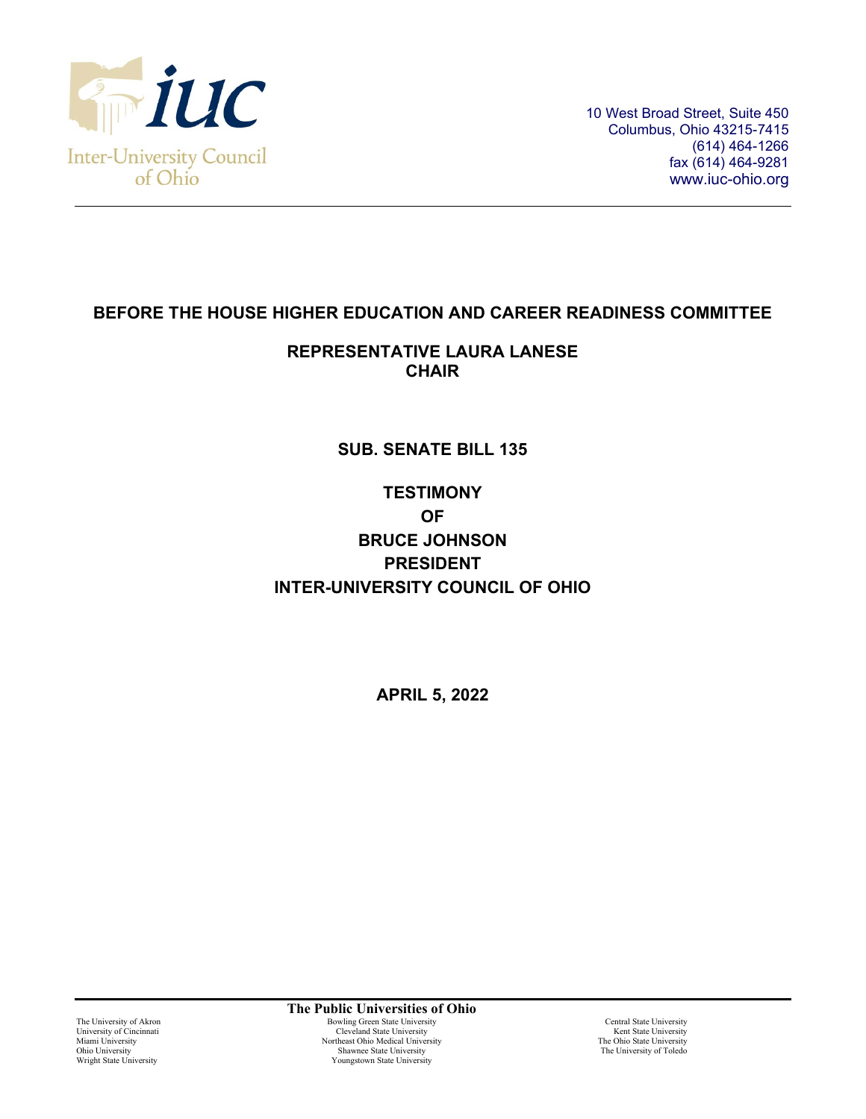

## **BEFORE THE HOUSE HIGHER EDUCATION AND CAREER READINESS COMMITTEE**

## **REPRESENTATIVE LAURA LANESE CHAIR**

## **SUB. SENATE BILL 135**

# **TESTIMONY OF BRUCE JOHNSON PRESIDENT INTER-UNIVERSITY COUNCIL OF OHIO**

**APRIL 5, 2022**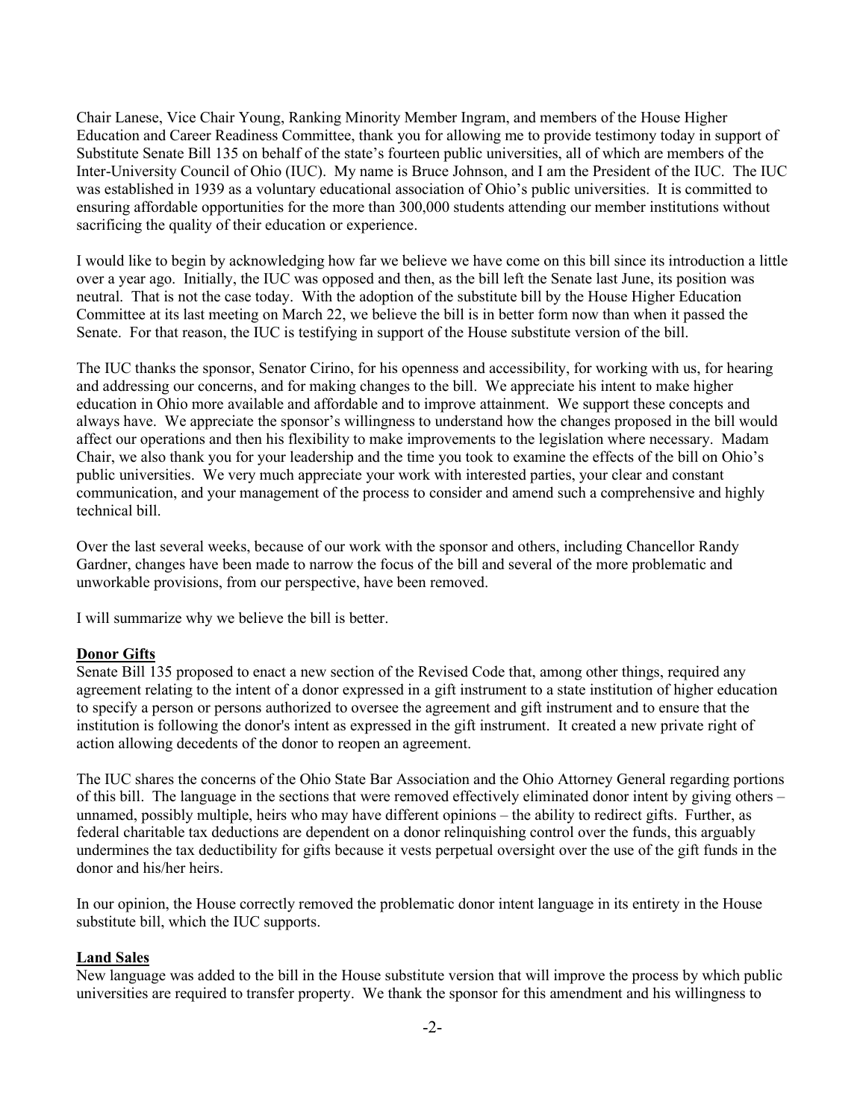Chair Lanese, Vice Chair Young, Ranking Minority Member Ingram, and members of the House Higher Education and Career Readiness Committee, thank you for allowing me to provide testimony today in support of Substitute Senate Bill 135 on behalf of the state's fourteen public universities, all of which are members of the Inter-University Council of Ohio (IUC). My name is Bruce Johnson, and I am the President of the IUC. The IUC was established in 1939 as a voluntary educational association of Ohio's public universities. It is committed to ensuring affordable opportunities for the more than 300,000 students attending our member institutions without sacrificing the quality of their education or experience.

I would like to begin by acknowledging how far we believe we have come on this bill since its introduction a little over a year ago. Initially, the IUC was opposed and then, as the bill left the Senate last June, its position was neutral. That is not the case today. With the adoption of the substitute bill by the House Higher Education Committee at its last meeting on March 22, we believe the bill is in better form now than when it passed the Senate. For that reason, the IUC is testifying in support of the House substitute version of the bill.

The IUC thanks the sponsor, Senator Cirino, for his openness and accessibility, for working with us, for hearing and addressing our concerns, and for making changes to the bill. We appreciate his intent to make higher education in Ohio more available and affordable and to improve attainment. We support these concepts and always have. We appreciate the sponsor's willingness to understand how the changes proposed in the bill would affect our operations and then his flexibility to make improvements to the legislation where necessary. Madam Chair, we also thank you for your leadership and the time you took to examine the effects of the bill on Ohio's public universities. We very much appreciate your work with interested parties, your clear and constant communication, and your management of the process to consider and amend such a comprehensive and highly technical bill.

Over the last several weeks, because of our work with the sponsor and others, including Chancellor Randy Gardner, changes have been made to narrow the focus of the bill and several of the more problematic and unworkable provisions, from our perspective, have been removed.

I will summarize why we believe the bill is better.

### **Donor Gifts**

Senate Bill 135 proposed to enact a new section of the Revised Code that, among other things, required any agreement relating to the intent of a donor expressed in a gift instrument to a state institution of higher education to specify a person or persons authorized to oversee the agreement and gift instrument and to ensure that the institution is following the donor's intent as expressed in the gift instrument. It created a new private right of action allowing decedents of the donor to reopen an agreement.

The IUC shares the concerns of the Ohio State Bar Association and the Ohio Attorney General regarding portions of this bill. The language in the sections that were removed effectively eliminated donor intent by giving others – unnamed, possibly multiple, heirs who may have different opinions – the ability to redirect gifts. Further, as federal charitable tax deductions are dependent on a donor relinquishing control over the funds, this arguably undermines the tax deductibility for gifts because it vests perpetual oversight over the use of the gift funds in the donor and his/her heirs.

In our opinion, the House correctly removed the problematic donor intent language in its entirety in the House substitute bill, which the IUC supports.

#### **Land Sales**

New language was added to the bill in the House substitute version that will improve the process by which public universities are required to transfer property. We thank the sponsor for this amendment and his willingness to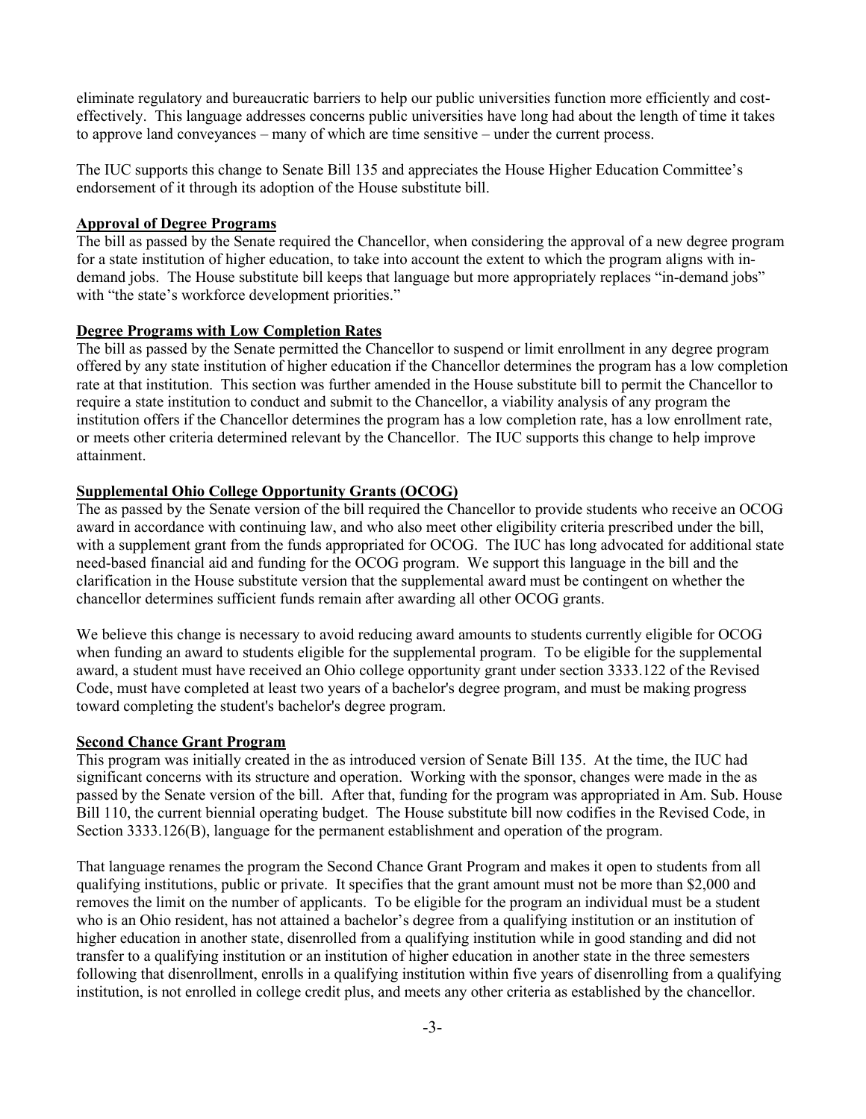eliminate regulatory and bureaucratic barriers to help our public universities function more efficiently and costeffectively. This language addresses concerns public universities have long had about the length of time it takes to approve land conveyances – many of which are time sensitive – under the current process.

The IUC supports this change to Senate Bill 135 and appreciates the House Higher Education Committee's endorsement of it through its adoption of the House substitute bill.

#### **Approval of Degree Programs**

The bill as passed by the Senate required the Chancellor, when considering the approval of a new degree program for a state institution of higher education, to take into account the extent to which the program aligns with indemand jobs. The House substitute bill keeps that language but more appropriately replaces "in-demand jobs" with "the state's workforce development priorities."

#### **Degree Programs with Low Completion Rates**

The bill as passed by the Senate permitted the Chancellor to suspend or limit enrollment in any degree program offered by any state institution of higher education if the Chancellor determines the program has a low completion rate at that institution. This section was further amended in the House substitute bill to permit the Chancellor to require a state institution to conduct and submit to the Chancellor, a viability analysis of any program the institution offers if the Chancellor determines the program has a low completion rate, has a low enrollment rate, or meets other criteria determined relevant by the Chancellor. The IUC supports this change to help improve attainment.

#### **Supplemental Ohio College Opportunity Grants (OCOG)**

The as passed by the Senate version of the bill required the Chancellor to provide students who receive an OCOG award in accordance with continuing law, and who also meet other eligibility criteria prescribed under the bill, with a supplement grant from the funds appropriated for OCOG. The IUC has long advocated for additional state need-based financial aid and funding for the OCOG program. We support this language in the bill and the clarification in the House substitute version that the supplemental award must be contingent on whether the chancellor determines sufficient funds remain after awarding all other OCOG grants.

We believe this change is necessary to avoid reducing award amounts to students currently eligible for OCOG when funding an award to students eligible for the supplemental program. To be eligible for the supplemental award, a student must have received an Ohio college opportunity grant under section 3333.122 of the Revised Code, must have completed at least two years of a bachelor's degree program, and must be making progress toward completing the student's bachelor's degree program.

#### **Second Chance Grant Program**

This program was initially created in the as introduced version of Senate Bill 135. At the time, the IUC had significant concerns with its structure and operation. Working with the sponsor, changes were made in the as passed by the Senate version of the bill. After that, funding for the program was appropriated in Am. Sub. House Bill 110, the current biennial operating budget. The House substitute bill now codifies in the Revised Code, in Section 3333.126(B), language for the permanent establishment and operation of the program.

That language renames the program the Second Chance Grant Program and makes it open to students from all qualifying institutions, public or private. It specifies that the grant amount must not be more than \$2,000 and removes the limit on the number of applicants. To be eligible for the program an individual must be a student who is an Ohio resident, has not attained a bachelor's degree from a qualifying institution or an institution of higher education in another state, disenrolled from a qualifying institution while in good standing and did not transfer to a qualifying institution or an institution of higher education in another state in the three semesters following that disenrollment, enrolls in a qualifying institution within five years of disenrolling from a qualifying institution, is not enrolled in college credit plus, and meets any other criteria as established by the chancellor.